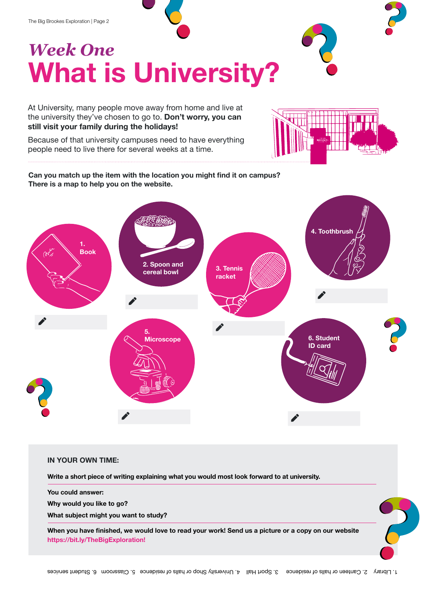The Big Brookes Exploration | Page 2

## *Week One*  **What is University?**

At University, many people move away from home and live at the university they've chosen to go to. **Don't worry, you can still visit your family during the holidays!**

Because of that university campuses need to have everything people need to live there for several weeks at a time.

**Can you match up the item with the location you might find it on campus? There is a map to help you on the website.**



## **IN YOUR OWN TIME:**

**Write a short piece of writing explaining what you would most look forward to at university.**

**You could answer:** 

**Why would you like to go?**

**What subject might you want to study?**

**When you have finished, we would love to read your work! Send us a picture or a copy on our website https://bit.ly/TheBigExploration!**